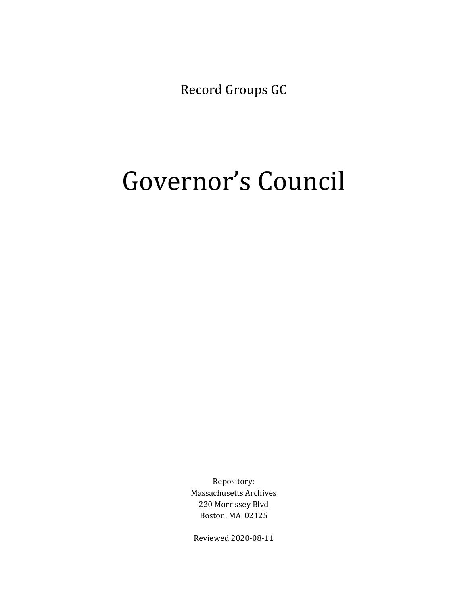Record Groups GC

# Governor's Council

Repository: Massachusetts Archives 220 Morrissey Blvd Boston, MA 02125

Reviewed 2020-08-11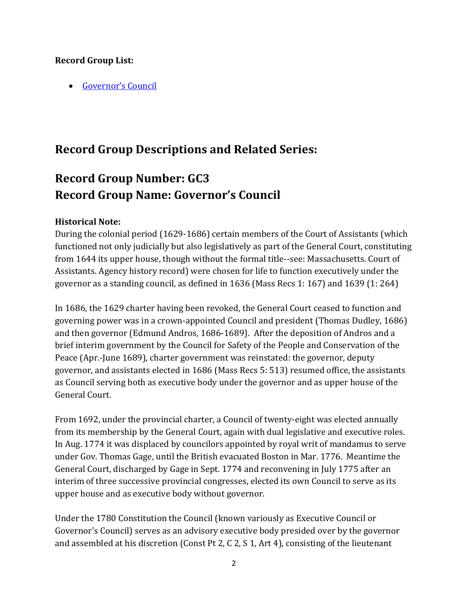## <span id="page-1-1"></span>**Record Group List:**

• [Governor's Council](#page-1-0)

# **Record Group Descriptions and Related Series:**

# <span id="page-1-0"></span>**Record Group Number: GC3 Record Group Name: Governor's Council**

## **Historical Note:**

During the colonial period (1629-1686) certain members of the Court of Assistants (which functioned not only judicially but also legislatively as part of the General Court, constituting from 1644 its upper house, though without the formal title--see: Massachusetts. Court of Assistants. Agency history record) were chosen for life to function executively under the governor as a standing council, as defined in 1636 (Mass Recs 1: 167) and 1639 (1: 264)

In 1686, the 1629 charter having been revoked, the General Court ceased to function and governing power was in a crown-appointed Council and president (Thomas Dudley, 1686) and then governor (Edmund Andros, 1686-1689). After the deposition of Andros and a brief interim government by the Council for Safety of the People and Conservation of the Peace (Apr.-June 1689), charter government was reinstated: the governor, deputy governor, and assistants elected in 1686 (Mass Recs 5: 513) resumed office, the assistants as Council serving both as executive body under the governor and as upper house of the General Court.

From 1692, under the provincial charter, a Council of twenty-eight was elected annually from its membership by the General Court, again with dual legislative and executive roles. In Aug. 1774 it was displaced by councilors appointed by royal writ of mandamus to serve under Gov. Thomas Gage, until the British evacuated Boston in Mar. 1776. Meantime the General Court, discharged by Gage in Sept. 1774 and reconvening in July 1775 after an interim of three successive provincial congresses, elected its own Council to serve as its upper house and as executive body without governor.

Under the 1780 Constitution the Council (known variously as Executive Council or Governor's Council) serves as an advisory executive body presided over by the governor and assembled at his discretion (Const Pt 2, C 2, S 1, Art 4), consisting of the lieutenant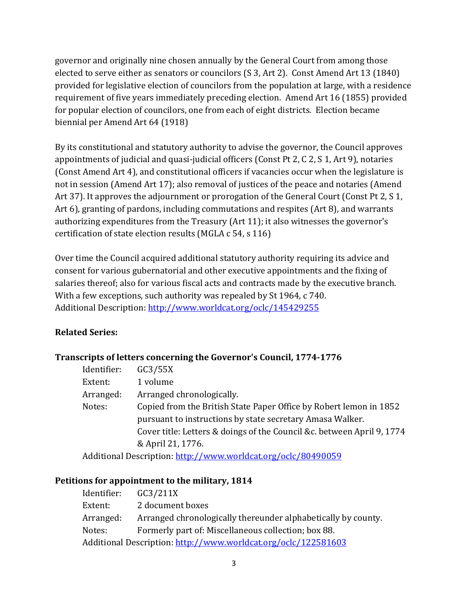governor and originally nine chosen annually by the General Court from among those elected to serve either as senators or councilors (S 3, Art 2). Const Amend Art 13 (1840) provided for legislative election of councilors from the population at large, with a residence requirement of five years immediately preceding election. Amend Art 16 (1855) provided for popular election of councilors, one from each of eight districts. Election became biennial per Amend Art 64 (1918)

By its constitutional and statutory authority to advise the governor, the Council approves appointments of judicial and quasi-judicial officers (Const Pt 2, C 2, S 1, Art 9), notaries (Const Amend Art 4), and constitutional officers if vacancies occur when the legislature is not in session (Amend Art 17); also removal of justices of the peace and notaries (Amend Art 37). It approves the adjournment or prorogation of the General Court (Const Pt 2, S 1, Art 6), granting of pardons, including commutations and respites (Art 8), and warrants authorizing expenditures from the Treasury (Art 11); it also witnesses the governor's certification of state election results (MGLA c 54, s 116)

Over time the Council acquired additional statutory authority requiring its advice and consent for various gubernatorial and other executive appointments and the fixing of salaries thereof; also for various fiscal acts and contracts made by the executive branch. With a few exceptions, such authority was repealed by St 1964, c 740. Additional Description:<http://www.worldcat.org/oclc/145429255>

# **Related Series:**

## **Transcripts of letters concerning the Governor's Council, 1774-1776**

| Identifier: | GC3/55X                                                                |
|-------------|------------------------------------------------------------------------|
| Extent:     | 1 volume                                                               |
| Arranged:   | Arranged chronologically.                                              |
| Notes:      | Copied from the British State Paper Office by Robert lemon in 1852     |
|             | pursuant to instructions by state secretary Amasa Walker.              |
|             | Cover title: Letters & doings of the Council &c. between April 9, 1774 |
|             | & April 21, 1776.                                                      |
|             | Additional Decemption, http://www.wouldest.org/oolo/004000E0           |

Additional Description:<http://www.worldcat.org/oclc/80490059>

#### **Petitions for appointment to the military, 1814**

| Identifier:                                                    | GC3/211X                                                      |  |
|----------------------------------------------------------------|---------------------------------------------------------------|--|
| Extent:                                                        | 2 document boxes                                              |  |
| Arranged:                                                      | Arranged chronologically thereunder alphabetically by county. |  |
| Notes:                                                         | Formerly part of: Miscellaneous collection; box 88.           |  |
| Additional Description: http://www.worldcat.org/oclc/122581603 |                                                               |  |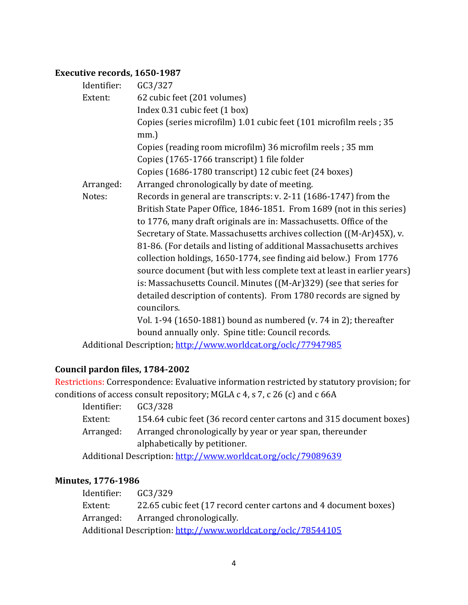# **Executive records, 1650-1987**

| Identifier: | GC3/327                                                                 |
|-------------|-------------------------------------------------------------------------|
| Extent:     | 62 cubic feet (201 volumes)                                             |
|             | Index 0.31 cubic feet (1 box)                                           |
|             | Copies (series microfilm) 1.01 cubic feet (101 microfilm reels; 35      |
|             | $mm.$ )                                                                 |
|             | Copies (reading room microfilm) 36 microfilm reels; 35 mm               |
|             | Copies (1765-1766 transcript) 1 file folder                             |
|             | Copies (1686-1780 transcript) 12 cubic feet (24 boxes)                  |
| Arranged:   | Arranged chronologically by date of meeting.                            |
| Notes:      | Records in general are transcripts: v. 2-11 (1686-1747) from the        |
|             | British State Paper Office, 1846-1851. From 1689 (not in this series)   |
|             | to 1776, many draft originals are in: Massachusetts. Office of the      |
|             | Secretary of State. Massachusetts archives collection ((M-Ar)45X), v.   |
|             | 81-86. (For details and listing of additional Massachusetts archives    |
|             | collection holdings, 1650-1774, see finding aid below.) From 1776       |
|             | source document (but with less complete text at least in earlier years) |
|             | is: Massachusetts Council. Minutes ((M-Ar)329) (see that series for     |
|             | detailed description of contents). From 1780 records are signed by      |
|             | councilors.                                                             |
|             | Vol. 1-94 (1650-1881) bound as numbered (v. 74 in 2); thereafter        |
|             | bound annually only. Spine title: Council records.                      |
|             |                                                                         |

Additional Description;<http://www.worldcat.org/oclc/77947985>

# **Council pardon files, 1784-2002**

Restrictions: Correspondence: Evaluative information restricted by statutory provision; for conditions of access consult repository; MGLA c 4, s 7, c 26 (c) and c 66A

| Identifier:                                                   | GC3/328                                                             |
|---------------------------------------------------------------|---------------------------------------------------------------------|
| Extent:                                                       | 154.64 cubic feet (36 record center cartons and 315 document boxes) |
| Arranged:                                                     | Arranged chronologically by year or year span, thereunder           |
|                                                               | alphabetically by petitioner.                                       |
| Additional Description: http://www.worldcat.org/oclc/79089639 |                                                                     |

# **Minutes, 1776-1986**

| Identifier: | GC3/329                                                          |
|-------------|------------------------------------------------------------------|
| Extent:     | 22.65 cubic feet (17 record center cartons and 4 document boxes) |
|             | Arranged: Arranged chronologically.                              |
|             | Additional Description: http://www.worldcat.org/oclc/78544105    |
|             |                                                                  |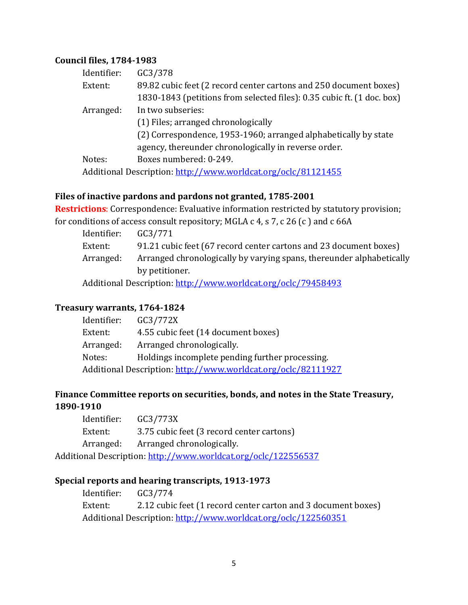#### **Council files, 1784-1983**

| Identifier: | GC3/378                                                                |
|-------------|------------------------------------------------------------------------|
| Extent:     | 89.82 cubic feet (2 record center cartons and 250 document boxes)      |
|             | 1830-1843 (petitions from selected files): 0.35 cubic ft. (1 doc. box) |
| Arranged:   | In two subseries:                                                      |
|             | (1) Files; arranged chronologically                                    |
|             | (2) Correspondence, 1953-1960; arranged alphabetically by state        |
|             | agency, thereunder chronologically in reverse order.                   |
| Notes:      | Boxes numbered: 0-249.                                                 |
|             | Additional Description: http://www.worldcat.org/oclc/81121455          |

#### **Files of inactive pardons and pardons not granted, 1785-2001**

**Restrictions**: Correspondence: Evaluative information restricted by statutory provision; for conditions of access consult repository; MGLA c 4, s 7, c 26 (c ) and c 66A

| Identifier:                                                   | GC3/771                                                              |
|---------------------------------------------------------------|----------------------------------------------------------------------|
| Extent:                                                       | 91.21 cubic feet (67 record center cartons and 23 document boxes)    |
| Arranged:                                                     | Arranged chronologically by varying spans, thereunder alphabetically |
|                                                               | by petitioner.                                                       |
| Additional Description: http://www.worldcat.org/oclc/79458493 |                                                                      |

#### **Treasury warrants, 1764-1824**

| Identifier: | GC3/772X                                                      |
|-------------|---------------------------------------------------------------|
| Extent:     | 4.55 cubic feet (14 document boxes)                           |
| Arranged:   | Arranged chronologically.                                     |
| Notes:      | Holdings incomplete pending further processing.               |
|             | Additional Description: http://www.worldcat.org/oclc/82111927 |
|             |                                                               |

# **Finance Committee reports on securities, bonds, and notes in the State Treasury, 1890-1910**

| Identifier: | GC3/773X                                  |
|-------------|-------------------------------------------|
| Extent:     | 3.75 cubic feet (3 record center cartons) |
| Arranged:   | Arranged chronologically.                 |
|             |                                           |

Additional Description:<http://www.worldcat.org/oclc/122556537>

# **Special reports and hearing transcripts, 1913-1973**

Identifier: GC3/774 Extent: 2.12 cubic feet (1 record center carton and 3 document boxes) Additional Description: <http://www.worldcat.org/oclc/122560351>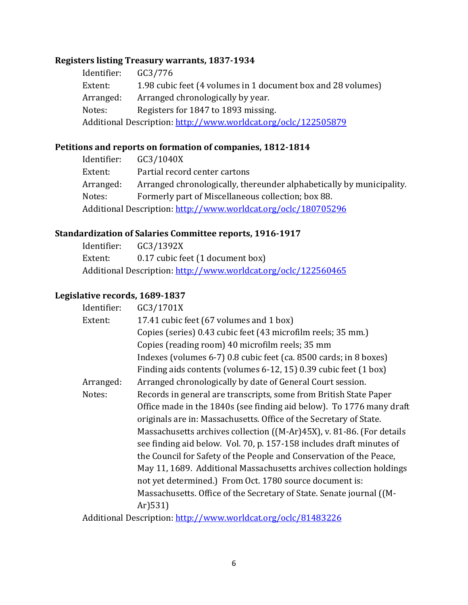# **Registers listing Treasury warrants, 1837-1934**

Identifier: GC3/776<br>Extent: 1.98 cubic 1.98 cubic feet (4 volumes in 1 document box and 28 volumes) Arranged: Arranged chronologically by year.<br>Notes: Registers for 1847 to 1893 missing Registers for 1847 to 1893 missing. Additional Description:<http://www.worldcat.org/oclc/122505879>

#### **Petitions and reports on formation of companies, 1812-1814**

| GC3/1040X                                                            |  |  |
|----------------------------------------------------------------------|--|--|
| Partial record center cartons                                        |  |  |
| Arranged chronologically, thereunder alphabetically by municipality. |  |  |
| Formerly part of Miscellaneous collection; box 88.                   |  |  |
| Additional Description: http://www.worldcat.org/oclc/180705296       |  |  |
|                                                                      |  |  |

# **Standardization of Salaries Committee reports, 1916-1917**

| Identifier:                                                    | GC3/1392X                        |
|----------------------------------------------------------------|----------------------------------|
| Extent:                                                        | 0.17 cubic feet (1 document box) |
| Additional Description: http://www.worldcat.org/oclc/122560465 |                                  |

### **Legislative records, 1689-1837**

| Identifier: | GC3/1701X                                                             |
|-------------|-----------------------------------------------------------------------|
| Extent:     | 17.41 cubic feet (67 volumes and 1 box)                               |
|             | Copies (series) 0.43 cubic feet (43 microfilm reels; 35 mm.)          |
|             | Copies (reading room) 40 microfilm reels; 35 mm                       |
|             | Indexes (volumes 6-7) 0.8 cubic feet (ca. 8500 cards; in 8 boxes)     |
|             | Finding aids contents (volumes 6-12, 15) 0.39 cubic feet (1 box)      |
| Arranged:   | Arranged chronologically by date of General Court session.            |
| Notes:      | Records in general are transcripts, some from British State Paper     |
|             | Office made in the 1840s (see finding aid below). To 1776 many draft  |
|             | originals are in: Massachusetts. Office of the Secretary of State.    |
|             | Massachusetts archives collection ((M-Ar)45X), v. 81-86. (For details |
|             | see finding aid below. Vol. 70, p. 157-158 includes draft minutes of  |
|             | the Council for Safety of the People and Conservation of the Peace,   |
|             | May 11, 1689. Additional Massachusetts archives collection holdings   |
|             | not yet determined.) From Oct. 1780 source document is:               |
|             | Massachusetts. Office of the Secretary of State. Senate journal ((M-  |
|             | $Ar$ ) 531)                                                           |
|             | Additional Description http://www.worldcat.org/oclc/81483226          |

Additional Description:<http://www.worldcat.org/oclc/81483226>